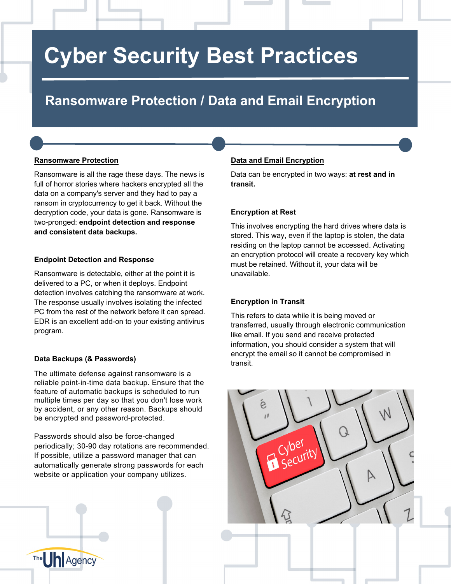## **Cyber Security Best Practices**

### **Ransomware Protection / Data and Email Encryption**

#### **Ransomware Protection**

Ransomware is all the rage these days. The news is full of horror stories where hackers encrypted all the data on a company's server and they had to pay a ransom in cryptocurrency to get it back. Without the decryption code, your data is gone. Ransomware is two-pronged: **endpoint detection and response and consistent data backups.**

#### **Endpoint Detection and Response**

Ransomware is detectable, either at the point it is delivered to a PC, or when it deploys. Endpoint detection involves catching the ransomware at work. The response usually involves isolating the infected PC from the rest of the network before it can spread. EDR is an excellent add-on to your existing antivirus program.

#### **Data Backups (& Passwords)**

The **Un** Agency

The ultimate defense against ransomware is a reliable point-in-time data backup. Ensure that the feature of automatic backups is scheduled to run multiple times per day so that you don't lose work by accident, or any other reason. Backups should be encrypted and password-protected.

Passwords should also be force-changed periodically; 30-90 day rotations are recommended. If possible, utilize a password manager that can automatically generate strong passwords for each website or application your company utilizes.

#### **Data and Email Encryption**

Data can be encrypted in two ways: **at rest and in transit.**

#### **Encryption at Rest**

This involves encrypting the hard drives where data is stored. This way, even if the laptop is stolen, the data residing on the laptop cannot be accessed. Activating an encryption protocol will create a recovery key which must be retained. Without it, your data will be unavailable.

#### **Encryption in Transit**

This refers to data while it is being moved or transferred, usually through electronic communication like email. If you send and receive protected information, you should consider a system that will encrypt the email so it cannot be compromised in transit.

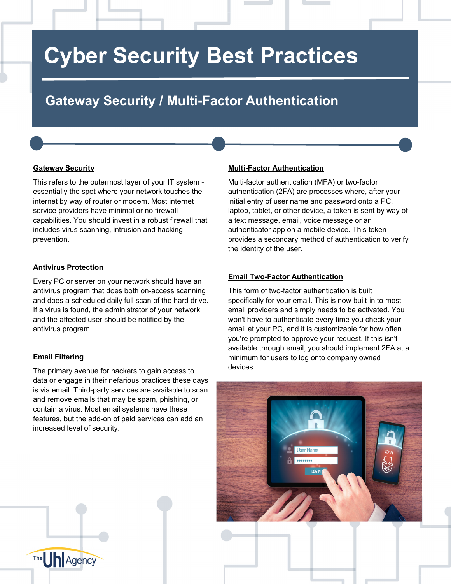# **Cyber Security Best Practices**

### **Gateway Security / Multi-Factor Authentication**

#### **Gateway Security**

This refers to the outermost layer of your IT system essentially the spot where your network touches the internet by way of router or modem. Most internet service providers have minimal or no firewall capabilities. You should invest in a robust firewall that includes virus scanning, intrusion and hacking prevention.

#### **Antivirus Protection**

Every PC or server on your network should have an antivirus program that does both on-access scanning and does a scheduled daily full scan of the hard drive. If a virus is found, the administrator of your network and the affected user should be notified by the antivirus program.

#### **Email Filtering**

The **Un** Agency

The primary avenue for hackers to gain access to data or engage in their nefarious practices these days is via email. Third-party services are available to scan and remove emails that may be spam, phishing, or contain a virus. Most email systems have these features, but the add-on of paid services can add an increased level of security.

#### **Multi-Factor Authentication**

Multi-factor authentication (MFA) or two-factor authentication (2FA) are processes where, after your initial entry of user name and password onto a PC, laptop, tablet, or other device, a token is sent by way of a text message, email, voice message or an authenticator app on a mobile device. This token provides a secondary method of authentication to verify the identity of the user.

#### **Email Two-Factor Authentication**

This form of two-factor authentication is built specifically for your email. This is now built-in to most email providers and simply needs to be activated. You won't have to authenticate every time you check your email at your PC, and it is customizable for how often you're prompted to approve your request. If this isn't available through email, you should implement 2FA at a minimum for users to log onto company owned devices.